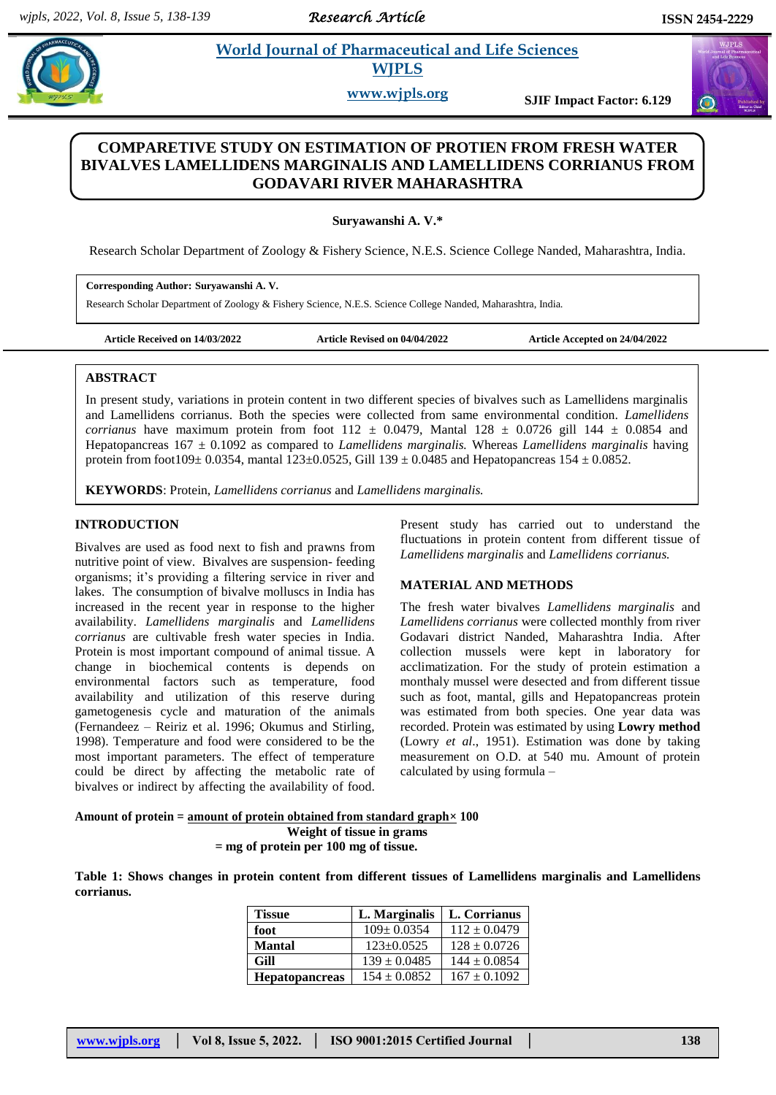*Research Article* 

# **Example 3 Is a World Journal of Pharmaceutical and Life Sciences WJPLS**

**www.wjpls.org SJIF Impact Factor: 6.129**

## **COMPARETIVE STUDY ON ESTIMATION OF PROTIEN FROM FRESH WATER BIVALVES LAMELLIDENS MARGINALIS AND LAMELLIDENS CORRIANUS FROM GODAVARI RIVER MAHARASHTRA**

**Suryawanshi A. V.\***

Research Scholar Department of Zoology & Fishery Science, N.E.S. Science College Nanded, Maharashtra, India.

## **Corresponding Author: Suryawanshi A. V.**

Research Scholar Department of Zoology & Fishery Science, N.E.S. Science College Nanded, Maharashtra, India.

**Article Received on 14/03/2022 Article Revised on 04/04/2022 Article Accepted on 24/04/2022**

#### **ABSTRACT**

In present study, variations in protein content in two different species of bivalves such as Lamellidens marginalis and Lamellidens corrianus. Both the species were collected from same environmental condition. *Lamellidens corrianus* have maximum protein from foot  $112 \pm 0.0479$ , Mantal  $128 \pm 0.0726$  gill  $144 \pm 0.0854$  and Hepatopancreas 167 ± 0.1092 as compared to *Lamellidens marginalis.* Whereas *Lamellidens marginalis* having protein from foot109± 0.0354, mantal 123±0.0525, Gill 139 ± 0.0485 and Hepatopancreas 154 ± 0.0852.

**KEYWORDS**: Protein, *Lamellidens corrianus* and *Lamellidens marginalis.*

## **INTRODUCTION**

Bivalves are used as food next to fish and prawns from nutritive point of view. Bivalves are suspension- feeding organisms; it's providing a filtering service in river and lakes. The consumption of bivalve molluscs in India has increased in the recent year in response to the higher availability. *Lamellidens marginalis* and *Lamellidens corrianus* are cultivable fresh water species in India. Protein is most important compound of animal tissue. A change in biochemical contents is depends on environmental factors such as temperature, food availability and utilization of this reserve during gametogenesis cycle and maturation of the animals (Fernandeez – Reiriz et al. 1996; Okumus and Stirling, 1998). Temperature and food were considered to be the most important parameters. The effect of temperature could be direct by affecting the metabolic rate of bivalves or indirect by affecting the availability of food.

Present study has carried out to understand the fluctuations in protein content from different tissue of *Lamellidens marginalis* and *Lamellidens corrianus.*

## **MATERIAL AND METHODS**

The fresh water bivalves *Lamellidens marginalis* and *Lamellidens corrianus* were collected monthly from river Godavari district Nanded, Maharashtra India. After collection mussels were kept in laboratory for acclimatization. For the study of protein estimation a monthaly mussel were desected and from different tissue such as foot, mantal, gills and Hepatopancreas protein was estimated from both species. One year data was recorded. Protein was estimated by using **Lowry method** (Lowry *et al*., 1951). Estimation was done by taking measurement on O.D. at 540 mu. Amount of protein calculated by using formula –

#### **Amount of protein = amount of protein obtained from standard graph× 100 Weight of tissue in grams**

 **= mg of protein per 100 mg of tissue.**

**Table 1: Shows changes in protein content from different tissues of Lamellidens marginalis and Lamellidens corrianus.**

| <b>Tissue</b>         | L. Marginalis    | L. Corrianus     |
|-----------------------|------------------|------------------|
| foot                  | $109 \pm 0.0354$ | $112 \pm 0.0479$ |
| <b>Mantal</b>         | $123+0.0525$     | $128 \pm 0.0726$ |
| Gill                  | $139 \pm 0.0485$ | $144 \pm 0.0854$ |
| <b>Hepatopancreas</b> | $154 \pm 0.0852$ | $167 \pm 0.1092$ |